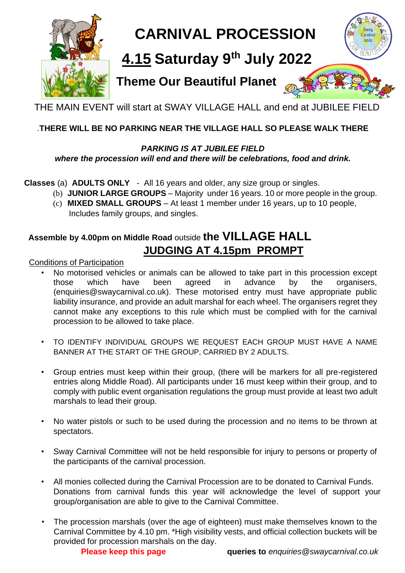

# **CARNIVAL PROCESSION**

## **4.15 Saturday 9 th July 2022**

### **Theme Our Beautiful Planet**



THE MAIN EVENT will start at SWAY VILLAGE HALL and end at JUBILEE FIELD

### .**THERE WILL BE NO PARKING NEAR THE VILLAGE HALL SO PLEASE WALK THERE**

#### *PARKING IS AT JUBILEE FIELD where the procession will end and there will be celebrations, food and drink.*

#### **Classes** (a) **ADULTS ONLY** - All 16 years and older, any size group or singles.

- (b) **JUNIOR LARGE GROUPS** Majority under 16 years. 10 or more people in the group.
- (c) **MIXED SMALL GROUPS** At least 1 member under 16 years, up to 10 people, Includes family groups, and singles.

### **Assemble by 4.00pm on Middle Road** outside **the VILLAGE HALL JUDGING AT 4.15pm PROMPT**

Conditions of Participation

- No motorised vehicles or animals can be allowed to take part in this procession except those which have been agreed in advance by the organisers, (enquiries@swaycarnival.co.uk). These motorised entry must have appropriate public liability insurance, and provide an adult marshal for each wheel. The organisers regret they cannot make any exceptions to this rule which must be complied with for the carnival procession to be allowed to take place.
- TO IDENTIFY INDIVIDUAL GROUPS WE REQUEST EACH GROUP MUST HAVE A NAME BANNER AT THE START OF THE GROUP, CARRIED BY 2 ADULTS.
- Group entries must keep within their group, (there will be markers for all pre-registered entries along Middle Road). All participants under 16 must keep within their group, and to comply with public event organisation regulations the group must provide at least two adult marshals to lead their group.
- No water pistols or such to be used during the procession and no items to be thrown at spectators.
- Sway Carnival Committee will not be held responsible for injury to persons or property of the participants of the carnival procession.
- All monies collected during the Carnival Procession are to be donated to Carnival Funds. Donations from carnival funds this year will acknowledge the level of support your group/organisation are able to give to the Carnival Committee.
- The procession marshals (over the age of eighteen) must make themselves known to the Carnival Committee by 4.10 pm. \*High visibility vests, and official collection buckets will be provided for procession marshals on the day.